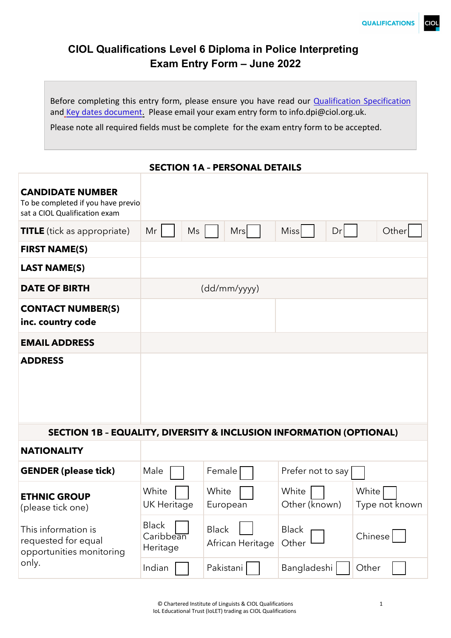# **CIOL Qualifications Level 6 Diploma in Police Interpreting Exam Entry Form – June 2022**

Before completing this entry form, please ensure you have read our **Qualification Specification** and Key [dates document.](https://www.ciol.org.uk/dpi#quicktabs-dpi=2) Please email your exam entry form to info.dpi@ciol.org.uk.

Please note all required fields must be complete for the exam entry form to be accepted.

#### **SECTION 1A – PERSONAL DETAILS**

| <b>CANDIDATE NUMBER</b><br>To be completed if you have previo<br>sat a CIOL Qualification exam |                                       |                                  |                        |                         |
|------------------------------------------------------------------------------------------------|---------------------------------------|----------------------------------|------------------------|-------------------------|
| <b>TITLE</b> (tick as appropriate)                                                             | Mr<br>Ms                              | <b>Mrs</b>                       | <b>Miss</b><br>Dr      | Other                   |
| <b>FIRST NAME(S)</b>                                                                           |                                       |                                  |                        |                         |
| <b>LAST NAME(S)</b>                                                                            |                                       |                                  |                        |                         |
| <b>DATE OF BIRTH</b>                                                                           |                                       | (dd/mm/yyyy)                     |                        |                         |
| <b>CONTACT NUMBER(S)</b><br>inc. country code                                                  |                                       |                                  |                        |                         |
| <b>EMAIL ADDRESS</b>                                                                           |                                       |                                  |                        |                         |
| <b>ADDRESS</b>                                                                                 |                                       |                                  |                        |                         |
| SECTION 1B - EQUALITY, DIVERSITY & INCLUSION INFORMATION (OPTIONAL)                            |                                       |                                  |                        |                         |
| <b>NATIONALITY</b>                                                                             |                                       |                                  |                        |                         |
| <b>GENDER (please tick)</b>                                                                    | Male                                  | Female                           | Prefer not to say      |                         |
| <b>ETHNIC GROUP</b><br>(please tick one)                                                       | White<br><b>UK Heritage</b>           | White<br>European                | White<br>Other (known) | White<br>Type not known |
| This information is<br>requested for equal<br>opportunities monitoring                         | <b>Black</b><br>Caribbean<br>Heritage | <b>Black</b><br>African Heritage | <b>Black</b><br>Other  | Chinese                 |
| only.                                                                                          | Indian                                | Pakistani                        | Bangladeshi            | Other                   |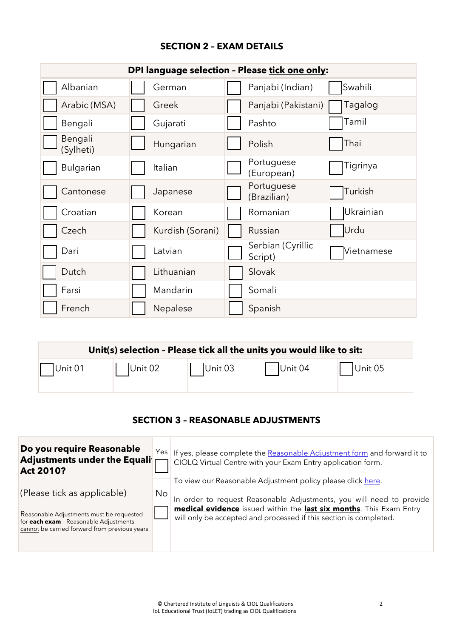## **SECTION 2 – EXAM DETAILS**

| DPI language selection - Please tick one only: |                  |                              |            |  |  |  |
|------------------------------------------------|------------------|------------------------------|------------|--|--|--|
| Albanian                                       | German           | Panjabi (Indian)             | Swahili    |  |  |  |
| Arabic (MSA)                                   | Greek            | Panjabi (Pakistani)          | Tagalog    |  |  |  |
| Bengali                                        | Gujarati         | Pashto                       | Tamil      |  |  |  |
| Bengali<br>(Sylheti)                           | Hungarian        | Polish                       | Thai       |  |  |  |
| <b>Bulgarian</b>                               | Italian          | Portuguese<br>(European)     | Tigrinya   |  |  |  |
| Cantonese                                      | Japanese         | Portuguese<br>(Brazilian)    | Turkish    |  |  |  |
| Croatian                                       | Korean           | Romanian                     | Ukrainian  |  |  |  |
| Czech                                          | Kurdish (Sorani) | Russian                      | Urdu       |  |  |  |
| Dari                                           | Latvian          | Serbian (Cyrillic<br>Script) | Vietnamese |  |  |  |
| Dutch                                          | Lithuanian       | Slovak                       |            |  |  |  |
| Farsi                                          | Mandarin         | Somali                       |            |  |  |  |
| French                                         | Nepalese         | Spanish                      |            |  |  |  |

| Unit(s) selection - Please tick all the units you would like to sit: |         |         |         |         |
|----------------------------------------------------------------------|---------|---------|---------|---------|
| $ $ Unit 01                                                          | Unit 02 | Unit 03 | Unit 04 | Unit 05 |

#### **SECTION 3 – REASONABLE ADJUSTMENTS**

| Do you require Reasonable<br><b>Adjustments under the Equali</b><br>Act 2010?                                                                                             |     | Yes   If yes, please complete the Reasonable Adjustment form and forward it to<br>CIOLQ Virtual Centre with your Exam Entry application form.                                                                                                                                   |
|---------------------------------------------------------------------------------------------------------------------------------------------------------------------------|-----|---------------------------------------------------------------------------------------------------------------------------------------------------------------------------------------------------------------------------------------------------------------------------------|
| (Please tick as applicable)<br>Reasonable Adjustments must be requested<br>for <b>each exam</b> - Reasonable Adjustments<br>cannot be carried forward from previous years | No. | To view our Reasonable Adjustment policy please click here.<br>In order to request Reasonable Adjustments, you will need to provide<br>medical evidence issued within the last six months. This Exam Entry<br>will only be accepted and processed if this section is completed. |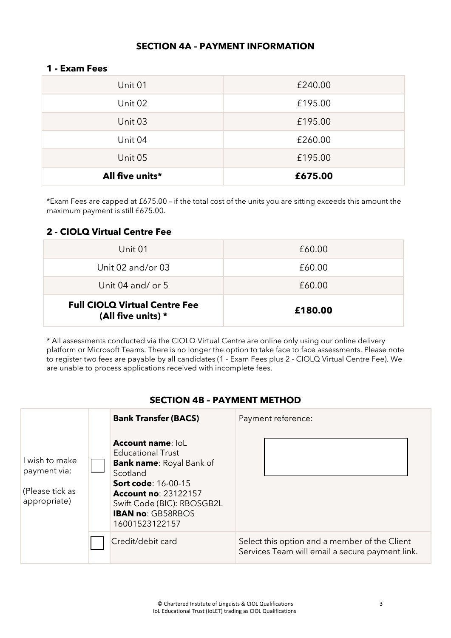## **SECTION 4A – PAYMENT INFORMATION**

#### **1 - Exam Fees**

| All five units* | £675.00 |  |
|-----------------|---------|--|
| Unit 05         | £195.00 |  |
| Unit 04         | £260.00 |  |
| Unit 03         | £195.00 |  |
| Unit 02         | £195.00 |  |
| Unit 01         | £240.00 |  |

\*Exam Fees are capped at £675.00 – if the total cost of the units you are sitting exceeds this amount the maximum payment is still £675.00.

## **2 - CIOLQ Virtual Centre Fee**

| Unit 01                                                    | £60.00  |
|------------------------------------------------------------|---------|
| Unit 02 and/or 03                                          | £60.00  |
| Unit 04 and/ or $5$                                        | £60.00  |
| <b>Full CIOLQ Virtual Centre Fee</b><br>(All five units) * | £180.00 |

\* All assessments conducted via the CIOLQ Virtual Centre are online only using our online delivery platform or Microsoft Teams. There is no longer the option to take face to face assessments. Please note to register two fees are payable by all candidates (1 - Exam Fees plus 2 - CIOLQ Virtual Centre Fee). We are unable to process applications received with incomplete fees.

#### **SECTION 4B – PAYMENT METHOD**

|                                                                   | <b>Bank Transfer (BACS)</b>                                                                                                                                                                                                                  | Payment reference:                                                                               |
|-------------------------------------------------------------------|----------------------------------------------------------------------------------------------------------------------------------------------------------------------------------------------------------------------------------------------|--------------------------------------------------------------------------------------------------|
| I wish to make<br>payment via:<br>(Please tick as<br>appropriate) | <b>Account name: loL</b><br><b>Educational Trust</b><br><b>Bank name: Royal Bank of</b><br>Scotland<br><b>Sort code: 16-00-15</b><br><b>Account no: 23122157</b><br>Swift Code (BIC): RBOSGB2L<br><b>IBAN no: GB58RBOS</b><br>16001523122157 |                                                                                                  |
|                                                                   | Credit/debit card                                                                                                                                                                                                                            | Select this option and a member of the Client<br>Services Team will email a secure payment link. |